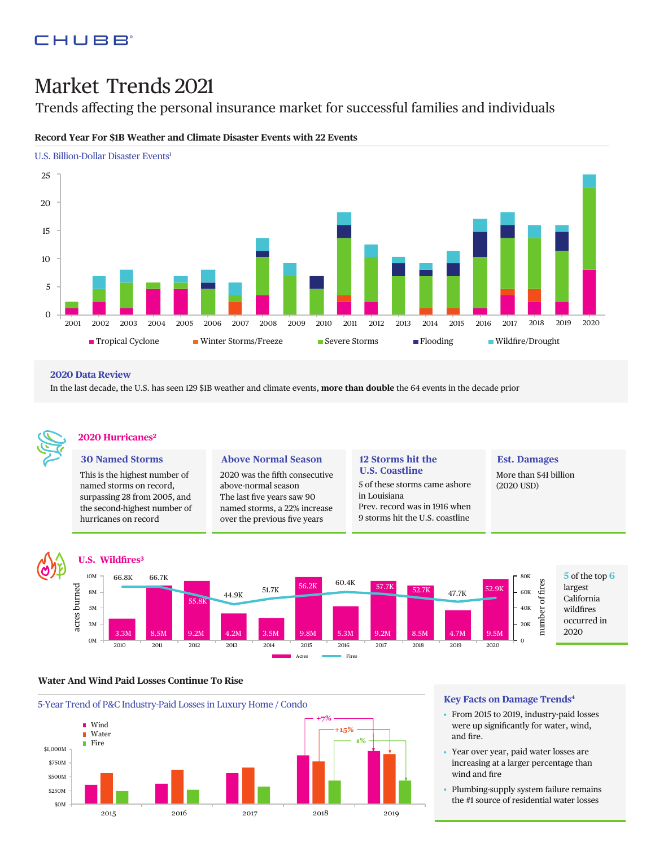## CHUBB

# Market Trends 2021

Trends affecting the personal insurance market for successful families and individuals



## **Record Year For \$1B Weather and Climate Disaster Events with 22 Events**

#### **2020 Data Review**

In the last decade, the U.S. has seen 129 \$1B weather and climate events, **more than double** the 64 events in the decade prior



## **2020 Hurricanes2**

**U.S.Wild"res3**

#### **30 Named Storms**

This is the highest number of named storms on record, surpassing 28 from 2005, and the second-highest number of hurricanes on record

#### **Above Normal Season**

2020 was the fifth consecutive above-normal season The last five years saw 90 named storms, a 22% increase over the previous five years

#### **12 Storms hit the U.S. Coastline**

5 of these storms came ashore in Louisiana Prev. record was in 1916 when 9 storms hit the U.S. coastline

#### **Est. Damages**

More than \$41 billion (2020 USD)



#### **Water And Wind Paid Losses Continue To Rise**



## **Key Facts on Damage Trends4**

- From 2015 to 2019, industry-paid losses were up significantly for water, wind, and fire.
- Year over year, paid water losses are increasing at a larger percentage than wind and fire
- Plumbing-supply system failure remains the #1 source of residential water losses